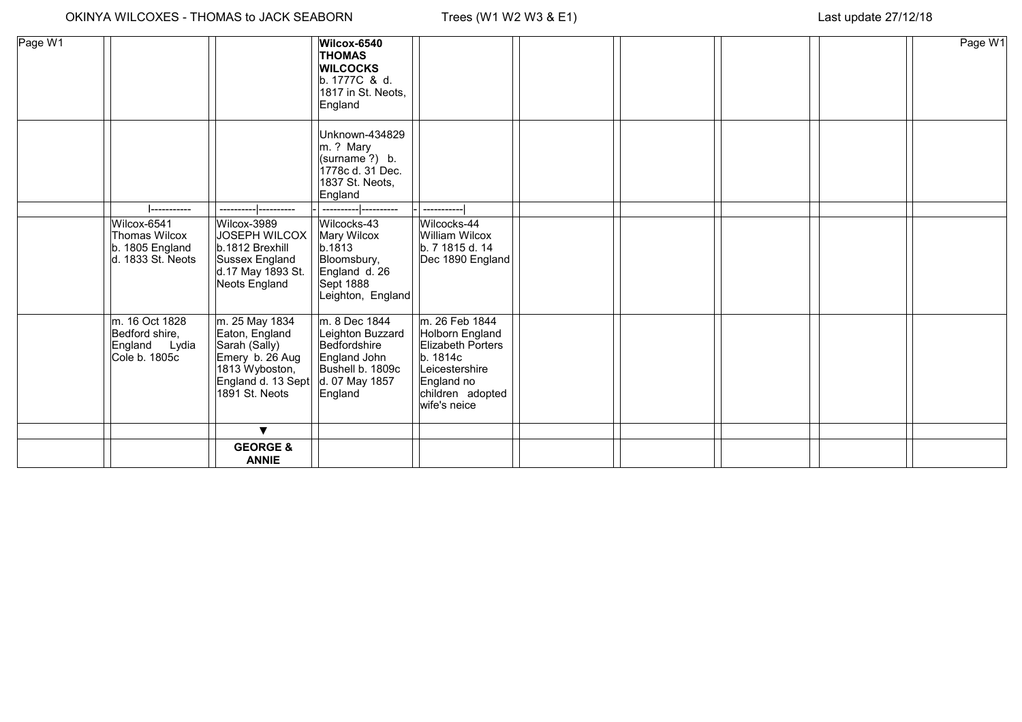| Page W1 |                                                                      |                                                                                                                                | Wilcox-6540<br><b>THOMAS</b><br><b>WILCOCKS</b><br>b. 1777C & d.<br>1817 in St. Neots,<br>England                  |                                                                                                                                        |  |  | Page W1 |
|---------|----------------------------------------------------------------------|--------------------------------------------------------------------------------------------------------------------------------|--------------------------------------------------------------------------------------------------------------------|----------------------------------------------------------------------------------------------------------------------------------------|--|--|---------|
|         |                                                                      |                                                                                                                                | Unknown-434829<br>m. ? Mary<br>(surname?) b.<br>1778c d. 31 Dec.<br>1837 St. Neots,<br>England                     |                                                                                                                                        |  |  |         |
|         | Wilcox-6541<br>Thomas Wilcox<br>b. 1805 England<br>d. 1833 St. Neots | Wilcox-3989<br>JOSEPH WILCOX<br>b.1812 Brexhill<br>Sussex England<br>d.17 May 1893 St.<br>Neots England                        | Wilcocks-43<br>Mary Wilcox<br>b.1813<br>Bloomsbury,<br>England d. 26<br>Sept 1888<br>Leighton, England             | Wilcocks-44<br>William Wilcox<br>b. 7 1815 d. 14<br>Dec 1890 England                                                                   |  |  |         |
|         | m. 16 Oct 1828<br>Bedford shire,<br>England Lydia<br>Cole b. 1805c   | m. 25 May 1834<br>Eaton, England<br>Sarah (Sally)<br>Emery b. 26 Aug<br>1813 Wyboston,<br>England d. 13 Sept<br>1891 St. Neots | m. 8 Dec 1844<br>Leighton Buzzard<br>Bedfordshire<br>England John<br>Bushell b. 1809c<br>d. 07 May 1857<br>England | m. 26 Feb 1844<br>Holborn England<br>Elizabeth Porters<br>b. 1814c<br>Leicestershire<br>England no<br>children adopted<br>wife's neice |  |  |         |
|         |                                                                      | $\blacktriangledown$                                                                                                           |                                                                                                                    |                                                                                                                                        |  |  |         |
|         |                                                                      | <b>GEORGE &amp;</b><br><b>ANNIE</b>                                                                                            |                                                                                                                    |                                                                                                                                        |  |  |         |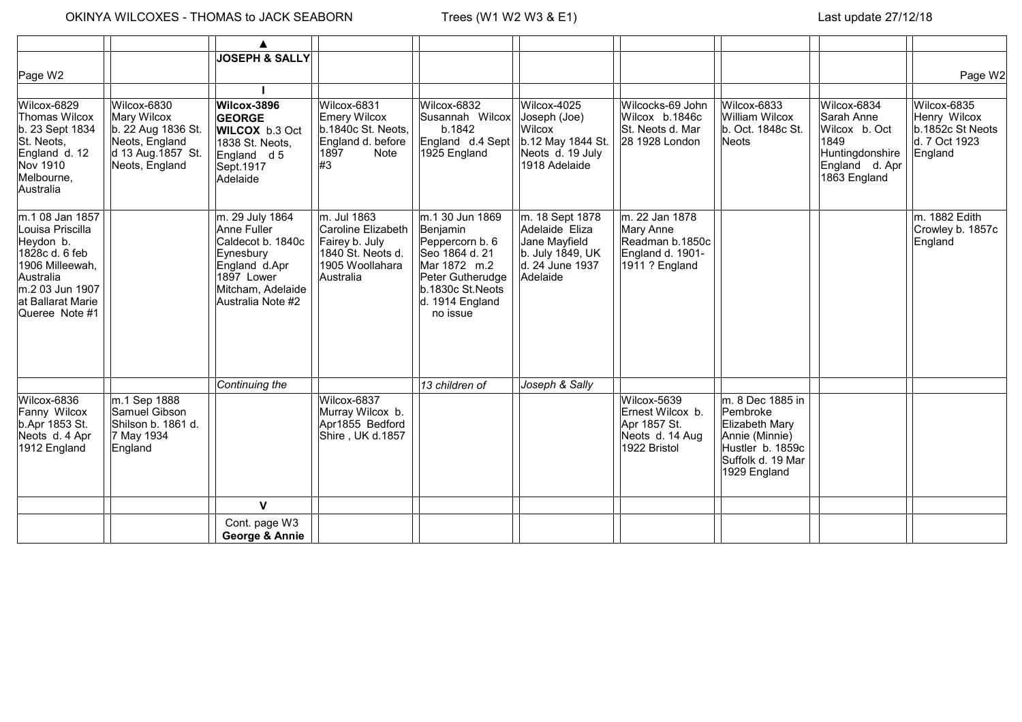## $\overline{1}$

 $\overline{\phantom{0}}$ 

|                                                                                                                                                              |                                                                                                            | ▲                                                                                                                                         |                                                                                                          |                                                                                                                                                         |                                                                                                       |                                                                                      |                                                                                                                           |                                                                                                         |                                                                             |
|--------------------------------------------------------------------------------------------------------------------------------------------------------------|------------------------------------------------------------------------------------------------------------|-------------------------------------------------------------------------------------------------------------------------------------------|----------------------------------------------------------------------------------------------------------|---------------------------------------------------------------------------------------------------------------------------------------------------------|-------------------------------------------------------------------------------------------------------|--------------------------------------------------------------------------------------|---------------------------------------------------------------------------------------------------------------------------|---------------------------------------------------------------------------------------------------------|-----------------------------------------------------------------------------|
| Page W2                                                                                                                                                      |                                                                                                            | <b>JOSEPH &amp; SALLY</b>                                                                                                                 |                                                                                                          |                                                                                                                                                         |                                                                                                       |                                                                                      |                                                                                                                           |                                                                                                         | Page W2                                                                     |
|                                                                                                                                                              |                                                                                                            |                                                                                                                                           |                                                                                                          |                                                                                                                                                         |                                                                                                       |                                                                                      |                                                                                                                           |                                                                                                         |                                                                             |
| Wilcox-6829<br><b>Thomas Wilcox</b><br>b. 23 Sept 1834<br>St. Neots,<br>England d. 12<br>Nov 1910<br>Melbourne,<br>Australia                                 | Wilcox-6830<br>Mary Wilcox<br>b. 22 Aug 1836 St.<br>Neots, England<br>d 13 Aug. 1857 St.<br>Neots, England | Wilcox-3896<br><b>GEORGE</b><br><b>WILCOX</b> b.3 Oct<br>1838 St. Neots,<br>England d 5<br>Sept.1917<br>Adelaide                          | Wilcox-6831<br>Emery Wilcox<br>b.1840c St. Neots,<br>England d. before<br>1897<br>Note<br>#3             | Wilcox-6832<br>Susannah Wilcox<br>b.1842<br>England d.4 Sept<br>1925 England                                                                            | Wilcox-4025<br>Joseph (Joe)<br>Wilcox<br>b.12 May 1844 St.<br>Neots d. 19 July<br>1918 Adelaide       | Wilcocks-69 John<br>Wilcox b.1846c<br>St. Neots d. Mar<br>28 1928 London             | Wilcox-6833<br><b>William Wilcox</b><br>b. Oct. 1848c St.<br>Neots                                                        | Wilcox-6834<br>Sarah Anne<br>Wilcox b. Oct<br>1849<br>Huntingdonshire<br>England d. Apr<br>1863 England | Wilcox-6835<br>Henry Wilcox<br>b.1852c St Neots<br>d. 7 Oct 1923<br>England |
| m.1 08 Jan 1857<br>Louisa Priscilla<br>Heydon b.<br>1828c d. 6 feb<br>1906 Milleewah,<br>Australia<br>m.2 03 Jun 1907<br>at Ballarat Marie<br>Queree Note #1 |                                                                                                            | m. 29 July 1864<br>Anne Fuller<br>Caldecot b. 1840c<br>Eynesbury<br>England d.Apr<br>1897 Lower<br>Mitcham, Adelaide<br>Australia Note #2 | m. Jul 1863<br>Caroline Elizabeth<br>Fairey b. July<br>1840 St. Neots d.<br>1905 Woollahara<br>Australia | m.1 30 Jun 1869<br>Benjamin<br>Peppercorn b. 6<br>Seo 1864 d. 21<br>Mar 1872 m.2<br>Peter Gutherudge<br>b.1830c St.Neots<br>d. 1914 England<br>no issue | m. 18 Sept 1878<br>Adelaide Eliza<br>Jane Mayfield<br>b. July 1849, UK<br>d. 24 June 1937<br>Adelaide | m. 22 Jan 1878<br>Mary Anne<br>Readman b.1850c<br>England d. 1901-<br>1911 ? England |                                                                                                                           |                                                                                                         | m. 1882 Edith<br>Crowley b. 1857c<br>England                                |
|                                                                                                                                                              |                                                                                                            | Continuing the                                                                                                                            |                                                                                                          | 13 children of                                                                                                                                          | Joseph & Sally                                                                                        |                                                                                      |                                                                                                                           |                                                                                                         |                                                                             |
| Wilcox-6836<br>Fanny Wilcox<br>b.Apr 1853 St.<br>Neots d. 4 Apr<br>1912 England                                                                              | m.1 Sep 1888<br>Samuel Gibson<br>Shilson b. 1861 d.<br>7 May 1934<br>England                               |                                                                                                                                           | Wilcox-6837<br>Murray Wilcox b.<br>Apr1855 Bedford<br>Shire, UK d.1857                                   |                                                                                                                                                         |                                                                                                       | Wilcox-5639<br>Ernest Wilcox b.<br>Apr 1857 St.<br>Neots d. 14 Aug<br>1922 Bristol   | m. 8 Dec 1885 in<br>Pembroke<br>Elizabeth Mary<br>Annie (Minnie)<br>Hustler b. 1859c<br>Suffolk d. 19 Mar<br>1929 England |                                                                                                         |                                                                             |
|                                                                                                                                                              |                                                                                                            | $\mathbf v$                                                                                                                               |                                                                                                          |                                                                                                                                                         |                                                                                                       |                                                                                      |                                                                                                                           |                                                                                                         |                                                                             |
|                                                                                                                                                              |                                                                                                            | Cont. page W3<br>George & Annie                                                                                                           |                                                                                                          |                                                                                                                                                         |                                                                                                       |                                                                                      |                                                                                                                           |                                                                                                         |                                                                             |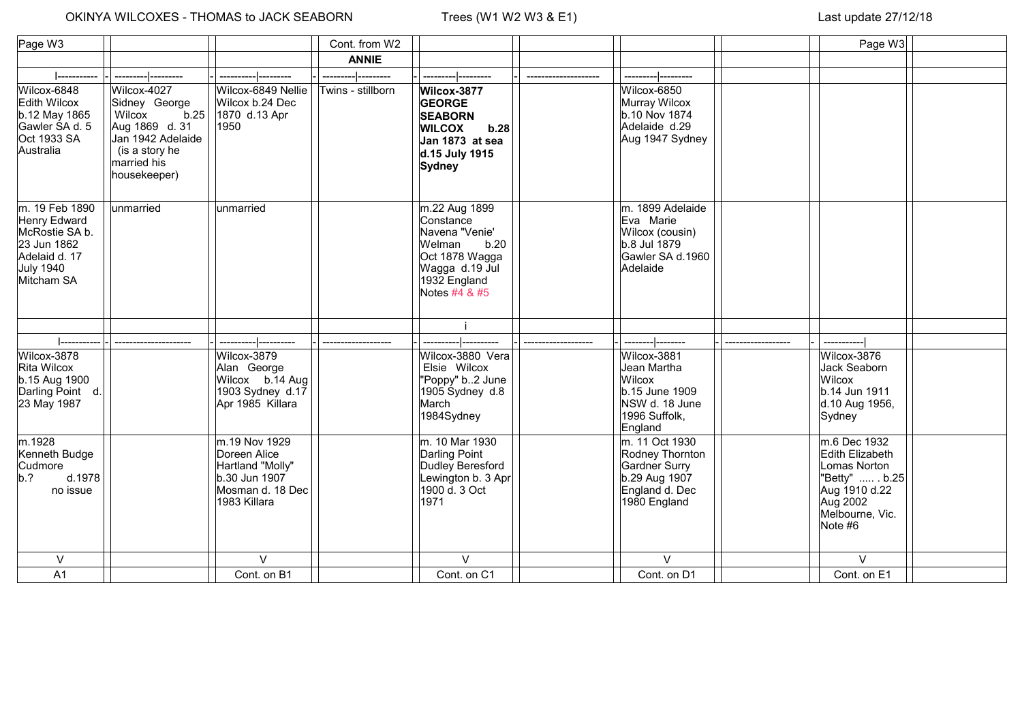## OKINYA WILCOXES - THOMAS to JACK SEABORN Trees (W1 W2 W3 & E1) Last update 27/12/18

| Page W3                                                                                                     |                                                                                                                                        |                                                                                                        | Cont. from W2     |                                                                                                                                     |                                                                                                       | Page W3                                                                                                                       |  |
|-------------------------------------------------------------------------------------------------------------|----------------------------------------------------------------------------------------------------------------------------------------|--------------------------------------------------------------------------------------------------------|-------------------|-------------------------------------------------------------------------------------------------------------------------------------|-------------------------------------------------------------------------------------------------------|-------------------------------------------------------------------------------------------------------------------------------|--|
|                                                                                                             |                                                                                                                                        |                                                                                                        | <b>ANNIE</b>      |                                                                                                                                     |                                                                                                       |                                                                                                                               |  |
|                                                                                                             |                                                                                                                                        |                                                                                                        |                   |                                                                                                                                     |                                                                                                       |                                                                                                                               |  |
| Wilcox-6848<br><b>Edith Wilcox</b><br>b.12 May 1865<br>Gawler SA d. 5<br>Oct 1933 SA<br>Australia           | Wilcox-4027<br>Sidney George<br>b.25<br>Wilcox<br>Aug 1869 d. 31<br>Jan 1942 Adelaide<br>(is a story he<br>married his<br>housekeeper) | Wilcox-6849 Nellie<br>Wilcox b.24 Dec<br>1870 d.13 Apr<br>1950                                         | Twins - stillborn | Wilcox-3877<br><b>GEORGE</b><br><b>SEABORN</b><br><b>WILCOX</b><br>b.28<br>Jan 1873 at sea<br>d.15 July 1915<br>Sydney              | Wilcox-6850<br>Murray Wilcox<br>b.10 Nov 1874<br>Adelaide d.29<br>Aug 1947 Sydney                     |                                                                                                                               |  |
| m. 19 Feb 1890<br>Henry Edward<br>McRostie SA b.<br>23 Jun 1862<br>Adelaid d. 17<br>July 1940<br>Mitcham SA | unmarried                                                                                                                              | lunmarried                                                                                             |                   | m.22 Aug 1899<br>Constance<br>Navena "Venie'<br>Welman<br>b.20<br>Oct 1878 Wagga<br>Wagga d.19 Jul<br>1932 England<br>Notes #4 & #5 | m. 1899 Adelaide<br>Eva Marie<br>Wilcox (cousin)<br>b.8 Jul 1879<br>Gawler SA d.1960<br>Adelaide      |                                                                                                                               |  |
|                                                                                                             |                                                                                                                                        |                                                                                                        |                   |                                                                                                                                     |                                                                                                       |                                                                                                                               |  |
|                                                                                                             |                                                                                                                                        |                                                                                                        |                   |                                                                                                                                     |                                                                                                       |                                                                                                                               |  |
| Wilcox-3878<br>Rita Wilcox<br>b.15 Aug 1900<br>Darling Point d.<br>23 May 1987                              |                                                                                                                                        | Wilcox-3879<br>Alan George<br>Wilcox b.14 Aug<br>1903 Sydney d.17<br>Apr 1985 Killara                  |                   | Wilcox-3880 Vera<br>Elsie Wilcox<br>"Poppy" b2 June<br>1905 Sydney d.8<br>March<br>1984Sydney                                       | Wilcox-3881<br>Jean Martha<br>Wilcox<br>b.15 June 1909<br>NSW d. 18 June<br>1996 Suffolk,<br>England  | Wilcox-3876<br>Jack Seaborn<br>Wilcox<br>b.14 Jun 1911<br>d.10 Aug 1956,<br>Sydney                                            |  |
| m.1928<br>Kenneth Budge<br>Cudmore<br>d.1978<br>$ b.2\rangle$<br>no issue                                   |                                                                                                                                        | m.19 Nov 1929<br>Doreen Alice<br>Hartland "Molly"<br>b.30 Jun 1907<br>Mosman d. 18 Dec<br>1983 Killara |                   | m. 10 Mar 1930<br>Darling Point<br>Dudley Beresford<br>Lewington b. 3 Apr<br>1900 d. 3 Oct<br>1971                                  | m. 11 Oct 1930<br>Rodney Thornton<br>Gardner Surry<br>b.29 Aug 1907<br>England d. Dec<br>1980 England | m.6 Dec 1932<br>Edith Elizabeth<br>Lomas Norton<br>"Betty"  . b.25<br>Aug 1910 d.22<br>Aug 2002<br>Melbourne, Vic.<br>Note #6 |  |
| $\vee$                                                                                                      |                                                                                                                                        | $\vee$                                                                                                 |                   | $\vee$                                                                                                                              | $\vee$                                                                                                | $\vee$                                                                                                                        |  |
| A <sub>1</sub>                                                                                              |                                                                                                                                        | Cont. on B1                                                                                            |                   | Cont. on C1                                                                                                                         | Cont. on D1                                                                                           | Cont. on E1                                                                                                                   |  |